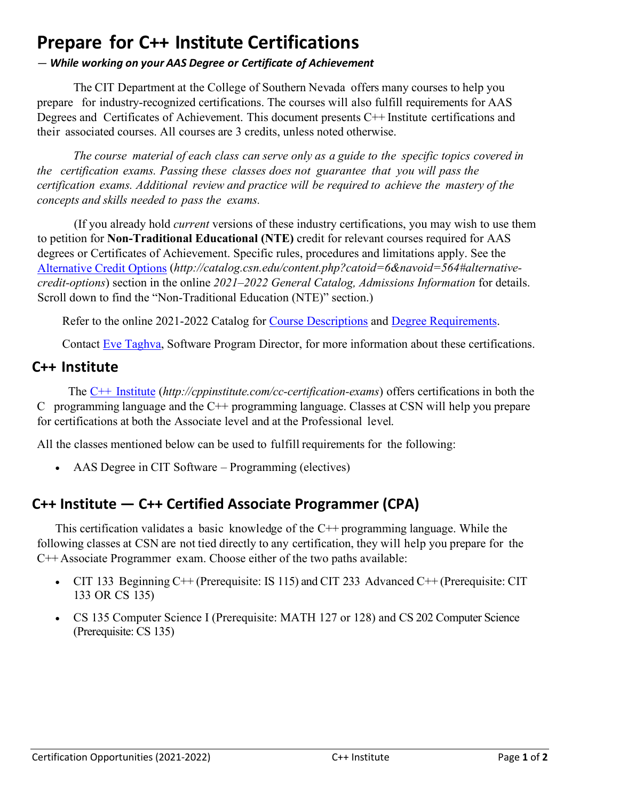# **Prepare for C++ Institute Certifications**

#### *— While working on your AAS Degree or Certificate of Achievement*

The CIT Department at the College of Southern Nevada offers many courses to help you prepare for industry-recognized certifications. The courses will also fulfill requirements for AAS Degrees and Certificates of Achievement. This document presents C<sup>++</sup> Institute certifications and their associated courses. All courses are 3 credits, unless noted otherwise.

*The course material of each class can serve only as a guide to the specific topics covered in the certification exams. Passing these classes does not guarantee that you will pass the certification exams. Additional review and practice will be required to achieve the mastery of the concepts and skills needed to pass the exams.*

(If you already hold *current* versions of these industry certifications, you may wish to use them to petition for **Non-Traditional Educational (NTE)** credit for relevant courses required for AAS degrees or Certificates of Achievement. Specific rules, procedures and limitations apply. See the [Alternative Credit Options](http://catalog.csn.edu/content.php?catoid=6&navoid=564#alternative-credit-options) (*http://catalog.csn.edu/content.php?catoid=6&navoid=564#alternativecredit-options*) section in the online *2021–2022 General Catalog, Admissions Information* for details. Scroll down to find the "Non-Traditional Education (NTE)" section.)

Refer to the online 2021-2022 Catalog for [Course Descriptions](http://catalog.csn.edu/content.php?catoid=6&navoid=571) and [Degree Requirements.](http://catalog.csn.edu/content.php?catoid=6&navoid=594)

Contact [Eve Taghva,](https://www.csn.edu/directory/eve-taghva) Software Program Director, for more information about these certifications.

#### **C++ Institute**

The C++ [Institute](http://cppinstitute.com/cc-certification-exams) (*http://cppinstitute.com/cc-certification-exams*) offers certifications in both the C programming language and the  $C^{++}$  programming language. Classes at CSN will help you prepare for certifications at both the Associate level and at the Professional level.

All the classes mentioned below can be used to fulfill requirements for the following:

• AAS Degree in CIT Software – Programming (electives)

## **C++ Institute — C++ Certified Associate Programmer (CPA)**

This certification validates a basic knowledge of the  $C++$  programming language. While the following classes at CSN are not tied directly to any certification, they will help you prepare for the C++ Associate Programmer exam. Choose either of the two paths available:

- CIT 133 Beginning C++ (Prerequisite: IS 115) and CIT 233 Advanced C++ (Prerequisite: CIT 133 OR CS 135)
- CS 135 Computer Science I (Prerequisite: MATH 127 or 128) and CS 202 Computer Science (Prerequisite: CS 135)